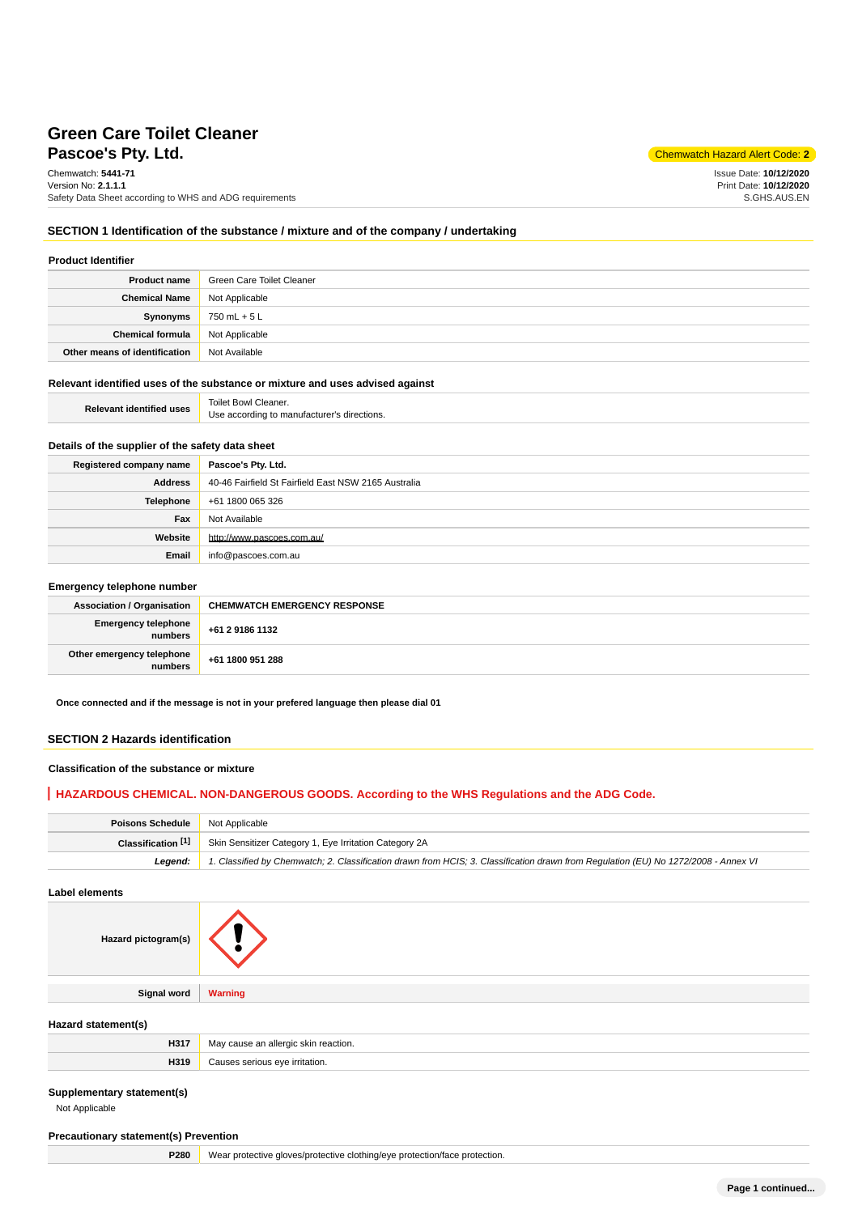# **Pascoe's Ptv. Ltd.** Chemwatch Hazard Alert Code: 2 **Green Care Toilet Cleaner**

Chemwatch: **5441-71** Version No: **2.1.1.1** Safety Data Sheet according to WHS and ADG requirements

Issue Date: **10/12/2020** Print Date: **10/12/2020** S.GHS.AUS.EN

## **SECTION 1 Identification of the substance / mixture and of the company / undertaking**

### **Product Identifier**

| <b>Product name</b>           | Green Care Toilet Cleaner |
|-------------------------------|---------------------------|
| <b>Chemical Name</b>          | Not Applicable            |
| <b>Synonyms</b>               | 750 mL + 5 L              |
| <b>Chemical formula</b>       | Not Applicable            |
| Other means of identification | Not Available             |

## **Relevant identified uses of the substance or mixture and uses advised against**

| <b>Relevant identified uses</b> | Toilet Bowl Cleaner.                        |
|---------------------------------|---------------------------------------------|
|                                 | Use according to manufacturer's directions. |

## **Details of the supplier of the safety data sheet**

| Registered company name | Pascoe's Pty. Ltd.                                   |
|-------------------------|------------------------------------------------------|
| Address                 | 40-46 Fairfield St Fairfield East NSW 2165 Australia |
| Telephone               | +61 1800 065 326                                     |
| Fax                     | Not Available                                        |
| Website                 | http://www.pascoes.com.au/                           |
| Email                   | info@pascoes.com.au                                  |

### **Emergency telephone number**

| <b>Association / Organisation</b>    | <b>CHEMWATCH EMERGENCY RESPONSE</b> |
|--------------------------------------|-------------------------------------|
| Emergency telephone<br>numbers       | +61 2 9186 1132                     |
| Other emergency telephone<br>numbers | +61 1800 951 288                    |

**Once connected and if the message is not in your prefered language then please dial 01**

## **SECTION 2 Hazards identification**

### **Classification of the substance or mixture**

## **HAZARDOUS CHEMICAL. NON-DANGEROUS GOODS. According to the WHS Regulations and the ADG Code.**

| <b>Poisons Schedule</b> Not Applicable |                                                                                                                                     |
|----------------------------------------|-------------------------------------------------------------------------------------------------------------------------------------|
| Classification [1]                     | Skin Sensitizer Category 1, Eye Irritation Category 2A                                                                              |
| Leaend:                                | 1. Classified by Chemwatch; 2. Classification drawn from HCIS; 3. Classification drawn from Requlation (EU) No 1272/2008 - Annex VI |

## **Label elements**

| Hazard pictogram(s) |                |
|---------------------|----------------|
|                     |                |
| Signal word         | <b>Warning</b> |

## **Hazard statement(s)**

| H317 | Mε<br>tion |
|------|------------|
| H319 | ation.     |

### **Supplementary statement(s)**

Not Applicable

## **Precautionary statement(s) Prevention**

**P280** Wear protective gloves/protective clothing/eye protection/face protection.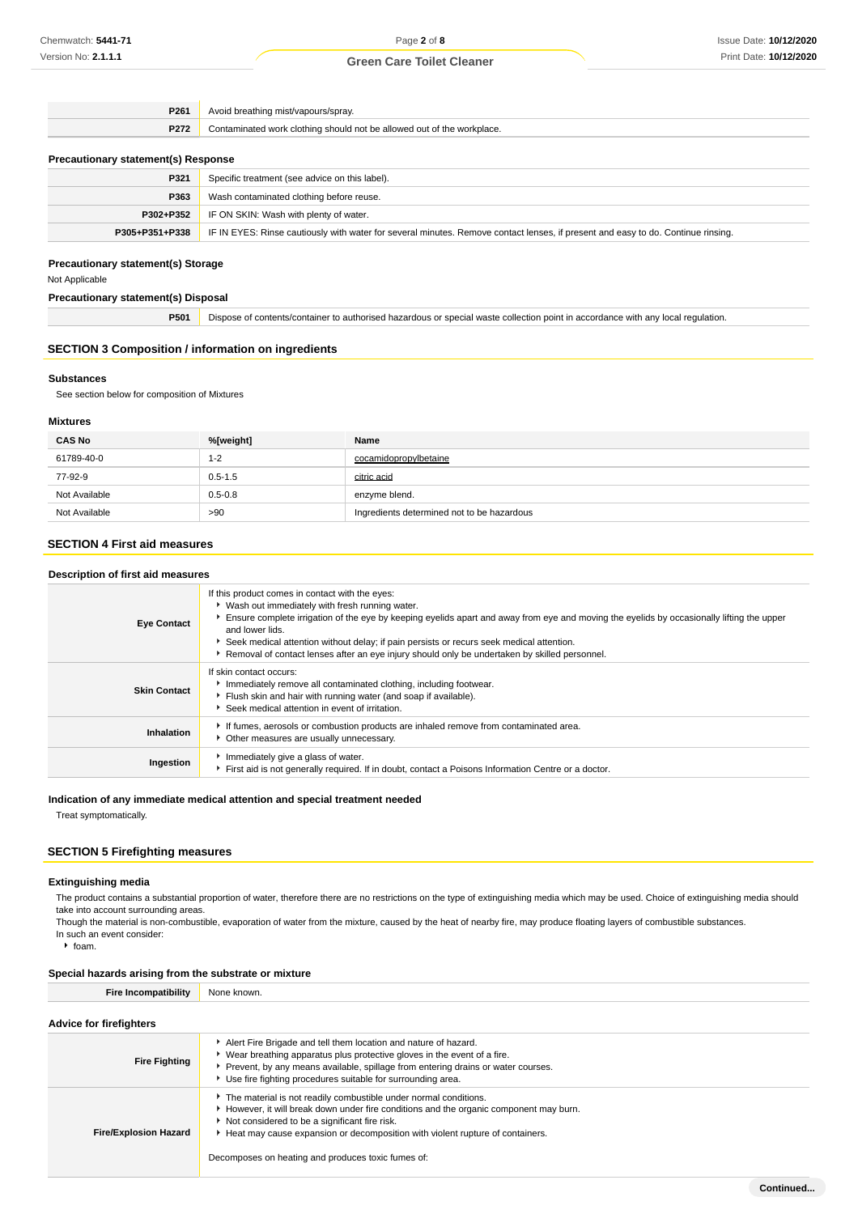| P261                                       | Avoid breathing mist/vapours/spray.                                    |  |
|--------------------------------------------|------------------------------------------------------------------------|--|
| P272                                       | Contaminated work clothing should not be allowed out of the workplace. |  |
| <b>Precautionary statement(s) Response</b> |                                                                        |  |
| P321                                       | Specific treatment (see advice on this label).                         |  |
| P363                                       | Wash contaminated clothing before reuse.                               |  |
|                                            |                                                                        |  |

|                | P302+P352   IF ON SKIN: Wash with plenty of water.                                                                               |  |
|----------------|----------------------------------------------------------------------------------------------------------------------------------|--|
| P305+P351+P338 | FIRIN EYES: Rinse cautiously with water for several minutes. Remove contact lenses, if present and easy to do. Continue rinsing. |  |
|                |                                                                                                                                  |  |

## **Precautionary statement(s) Storage**

Not Applicable

## **Precautionary statement(s) Disposal**

**P501** Dispose of contents/container to authorised hazardous or special waste collection point in accordance with any local regulation.

## **SECTION 3 Composition / information on ingredients**

#### **Substances**

See section below for composition of Mixtures

## **Mixtures**

| <b>CAS No</b> | %[weight]   | Name                                       |
|---------------|-------------|--------------------------------------------|
| 61789-40-0    | $1 - 2$     | cocamidopropylbetaine                      |
| 77-92-9       | $0.5 - 1.5$ | citric acid                                |
| Not Available | $0.5 - 0.8$ | enzyme blend.                              |
| Not Available | >90         | Ingredients determined not to be hazardous |

## **SECTION 4 First aid measures**

## **Description of first aid measures**

| <b>Eye Contact</b>  | If this product comes in contact with the eyes:<br>▶ Wash out immediately with fresh running water.<br>Ensure complete irrigation of the eye by keeping eyelids apart and away from eye and moving the eyelids by occasionally lifting the upper<br>and lower lids.<br>Seek medical attention without delay; if pain persists or recurs seek medical attention.<br>Removal of contact lenses after an eye injury should only be undertaken by skilled personnel. |
|---------------------|------------------------------------------------------------------------------------------------------------------------------------------------------------------------------------------------------------------------------------------------------------------------------------------------------------------------------------------------------------------------------------------------------------------------------------------------------------------|
| <b>Skin Contact</b> | If skin contact occurs:<br>Immediately remove all contaminated clothing, including footwear.<br>Flush skin and hair with running water (and soap if available).<br>* Seek medical attention in event of irritation.                                                                                                                                                                                                                                              |
| Inhalation          | If fumes, aerosols or combustion products are inhaled remove from contaminated area.<br>Other measures are usually unnecessary.                                                                                                                                                                                                                                                                                                                                  |
| Ingestion           | Immediately give a glass of water.<br>First aid is not generally required. If in doubt, contact a Poisons Information Centre or a doctor.                                                                                                                                                                                                                                                                                                                        |

### **Indication of any immediate medical attention and special treatment needed**

Treat symptomatically.

## **SECTION 5 Firefighting measures**

### **Extinguishing media**

The product contains a substantial proportion of water, therefore there are no restrictions on the type of extinguishing media which may be used. Choice of extinguishing media should take into account surrounding areas.

Though the material is non-combustible, evaporation of water from the mixture, caused by the heat of nearby fire, may produce floating layers of combustible substances. In such an event consider:

 $h$  foam.

## **Special hazards arising from the substrate or mixture**

**Fire Incompatibility** None known.

## **Advice for firefighters**

| <b>Fire Fighting</b>         | Alert Fire Brigade and tell them location and nature of hazard.<br>Wear breathing apparatus plus protective gloves in the event of a fire.<br>Prevent, by any means available, spillage from entering drains or water courses.<br>Use fire fighting procedures suitable for surrounding area.                                                     |  |
|------------------------------|---------------------------------------------------------------------------------------------------------------------------------------------------------------------------------------------------------------------------------------------------------------------------------------------------------------------------------------------------|--|
| <b>Fire/Explosion Hazard</b> | The material is not readily combustible under normal conditions.<br>However, it will break down under fire conditions and the organic component may burn.<br>Not considered to be a significant fire risk.<br>Heat may cause expansion or decomposition with violent rupture of containers.<br>Decomposes on heating and produces toxic fumes of: |  |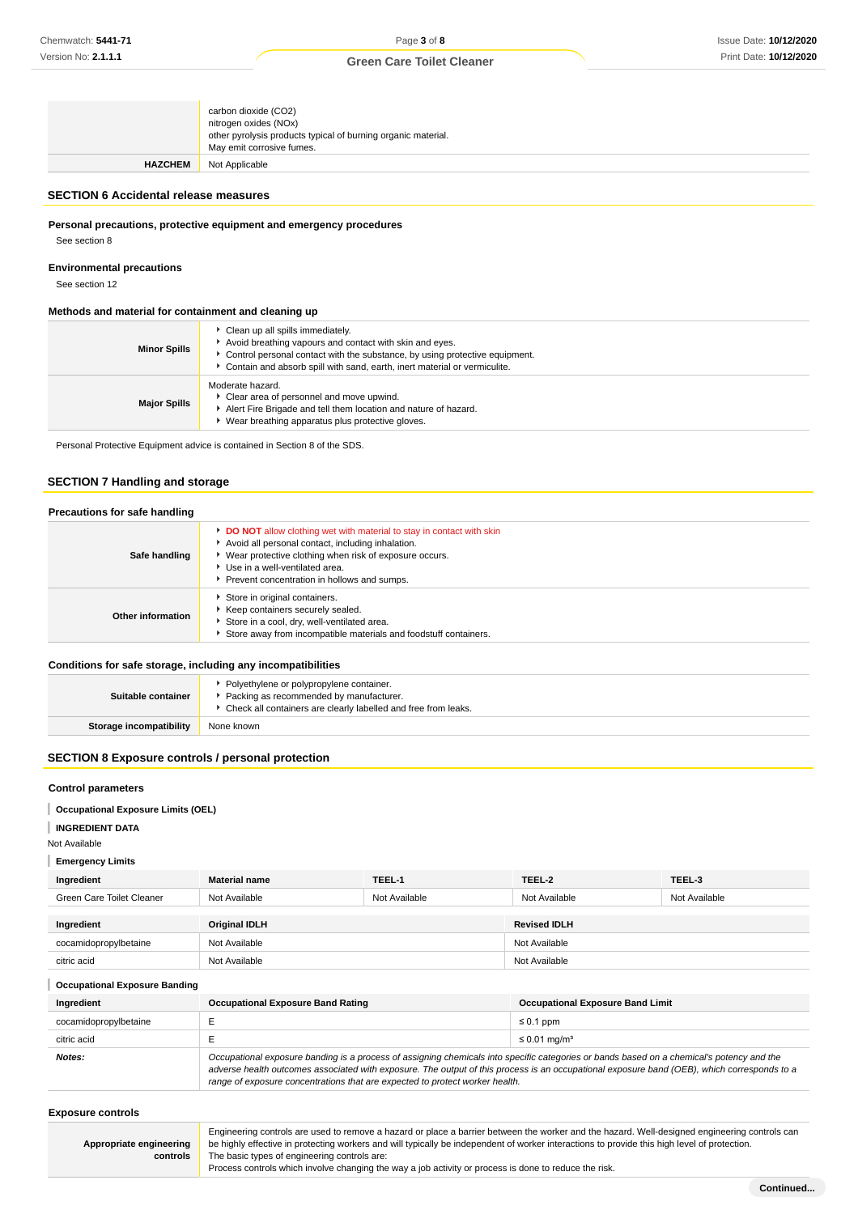|                | carbon dioxide (CO2)<br>nitrogen oxides (NOx)<br>other pyrolysis products typical of burning organic material.<br>May emit corrosive fumes. |
|----------------|---------------------------------------------------------------------------------------------------------------------------------------------|
| <b>HAZCHEM</b> | Not Applicable                                                                                                                              |

## **SECTION 6 Accidental release measures**

**Personal precautions, protective equipment and emergency procedures**

See section 8

## **Environmental precautions**

See section 12

### **Methods and material for containment and cleaning up**

| <b>Minor Spills</b> | Clean up all spills immediately.<br>Avoid breathing vapours and contact with skin and eyes.<br>• Control personal contact with the substance, by using protective equipment.<br>Contain and absorb spill with sand, earth, inert material or vermiculite. |
|---------------------|-----------------------------------------------------------------------------------------------------------------------------------------------------------------------------------------------------------------------------------------------------------|
| <b>Major Spills</b> | Moderate hazard.<br>Clear area of personnel and move upwind.<br>Alert Fire Brigade and tell them location and nature of hazard.<br>Wear breathing apparatus plus protective gloves.                                                                       |

Personal Protective Equipment advice is contained in Section 8 of the SDS.

## **SECTION 7 Handling and storage**

## **Precautions for safe handling**

| Safe handling     | <b>DO NOT</b> allow clothing wet with material to stay in contact with skin<br>Avoid all personal contact, including inhalation.<br>▶ Wear protective clothing when risk of exposure occurs.<br>Use in a well-ventilated area.<br>Prevent concentration in hollows and sumps. |
|-------------------|-------------------------------------------------------------------------------------------------------------------------------------------------------------------------------------------------------------------------------------------------------------------------------|
| Other information | Store in original containers.<br>Keep containers securely sealed.<br>Store in a cool, dry, well-ventilated area.<br>Store away from incompatible materials and foodstuff containers.                                                                                          |

### **Conditions for safe storage, including any incompatibilities**

| Suitable container             | • Polyethylene or polypropylene container.<br>• Packing as recommended by manufacturer.<br>• Check all containers are clearly labelled and free from leaks. |
|--------------------------------|-------------------------------------------------------------------------------------------------------------------------------------------------------------|
| <b>Storage incompatibility</b> | None known                                                                                                                                                  |

## **SECTION 8 Exposure controls / personal protection**

### **Control parameters**

**Occupational Exposure Limits (OEL)**

## **INGREDIENT DATA**

Not Available

## **Emergency Limits**

| Ingredient                | <b>Material name</b> | TEEL-1        | TEEL-2              | TEEL-3        |
|---------------------------|----------------------|---------------|---------------------|---------------|
| Green Care Toilet Cleaner | Not Available        | Not Available | Not Available       | Not Available |
| Ingredient                | <b>Original IDLH</b> |               | <b>Revised IDLH</b> |               |
|                           |                      |               |                     |               |
|                           |                      |               |                     |               |
| citric acid               | Not Available        |               | Not Available       |               |
| cocamidopropylbetaine     | Not Available        |               | Not Available       |               |

| <b>Occupational Exposure Banding</b> |                                                                                                                                                                                                                                                                                                                                                                          |                                         |  |  |
|--------------------------------------|--------------------------------------------------------------------------------------------------------------------------------------------------------------------------------------------------------------------------------------------------------------------------------------------------------------------------------------------------------------------------|-----------------------------------------|--|--|
| Ingredient                           | <b>Occupational Exposure Band Rating</b>                                                                                                                                                                                                                                                                                                                                 | <b>Occupational Exposure Band Limit</b> |  |  |
| cocamidopropylbetaine                |                                                                                                                                                                                                                                                                                                                                                                          | $\leq 0.1$ ppm                          |  |  |
| citric acid                          |                                                                                                                                                                                                                                                                                                                                                                          | $\leq 0.01$ mg/m <sup>3</sup>           |  |  |
| Notes:                               | Occupational exposure banding is a process of assigning chemicals into specific categories or bands based on a chemical's potency and the<br>adverse health outcomes associated with exposure. The output of this process is an occupational exposure band (OEB), which corresponds to a<br>range of exposure concentrations that are expected to protect worker health. |                                         |  |  |

## **Exposure controls**

| Appropriate engineering |  |
|-------------------------|--|
| controls                |  |

Engineering controls are used to remove a hazard or place a barrier between the worker and the hazard. Well-designed engineering controls can be highly effective in protecting workers and will typically be independent of worker interactions to provide this high level of protection. The basic types of engineering controls are:

Process controls which involve changing the way a job activity or process is done to reduce the risk.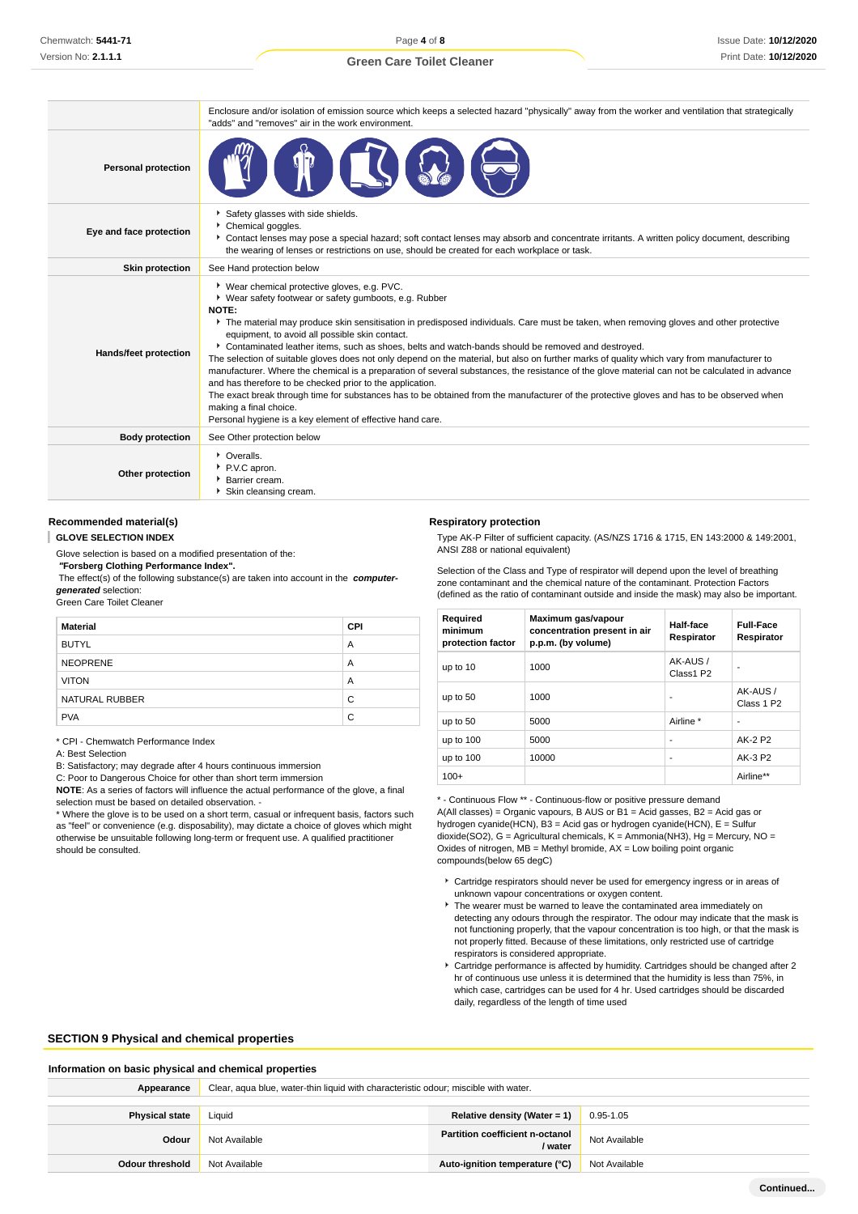Page **4** of **8**

## **Green Care Toilet Cleaner**

|                            | Enclosure and/or isolation of emission source which keeps a selected hazard "physically" away from the worker and ventilation that strategically<br>"adds" and "removes" air in the work environment.                                                                                                                                                                                                                                                                                                                                                                                                                                                                                                                                                                                                                                                                                                                                                                                                             |
|----------------------------|-------------------------------------------------------------------------------------------------------------------------------------------------------------------------------------------------------------------------------------------------------------------------------------------------------------------------------------------------------------------------------------------------------------------------------------------------------------------------------------------------------------------------------------------------------------------------------------------------------------------------------------------------------------------------------------------------------------------------------------------------------------------------------------------------------------------------------------------------------------------------------------------------------------------------------------------------------------------------------------------------------------------|
| <b>Personal protection</b> |                                                                                                                                                                                                                                                                                                                                                                                                                                                                                                                                                                                                                                                                                                                                                                                                                                                                                                                                                                                                                   |
| Eye and face protection    | Safety glasses with side shields.<br>Chemical goggles.<br>Contact lenses may pose a special hazard; soft contact lenses may absorb and concentrate irritants. A written policy document, describing<br>the wearing of lenses or restrictions on use, should be created for each workplace or task.                                                                                                                                                                                                                                                                                                                                                                                                                                                                                                                                                                                                                                                                                                                |
| <b>Skin protection</b>     | See Hand protection below                                                                                                                                                                                                                                                                                                                                                                                                                                                                                                                                                                                                                                                                                                                                                                                                                                                                                                                                                                                         |
| Hands/feet protection      | ▶ Wear chemical protective gloves, e.g. PVC.<br>• Wear safety footwear or safety gumboots, e.g. Rubber<br>NOTE:<br>The material may produce skin sensitisation in predisposed individuals. Care must be taken, when removing gloves and other protective<br>equipment, to avoid all possible skin contact.<br>Contaminated leather items, such as shoes, belts and watch-bands should be removed and destroyed.<br>The selection of suitable gloves does not only depend on the material, but also on further marks of quality which vary from manufacturer to<br>manufacturer. Where the chemical is a preparation of several substances, the resistance of the glove material can not be calculated in advance<br>and has therefore to be checked prior to the application.<br>The exact break through time for substances has to be obtained from the manufacturer of the protective gloves and has to be observed when<br>making a final choice.<br>Personal hygiene is a key element of effective hand care. |
| <b>Body protection</b>     | See Other protection below                                                                                                                                                                                                                                                                                                                                                                                                                                                                                                                                                                                                                                                                                                                                                                                                                                                                                                                                                                                        |
| Other protection           | • Overalls.<br>P.V.C apron.<br>Barrier cream.<br>Skin cleansing cream.                                                                                                                                                                                                                                                                                                                                                                                                                                                                                                                                                                                                                                                                                                                                                                                                                                                                                                                                            |

### **Recommended material(s)**

ı **GLOVE SELECTION INDEX**

Glove selection is based on a modified presentation of the:

 **"Forsberg Clothing Performance Index".**

 The effect(s) of the following substance(s) are taken into account in the **computergenerated** selection:

Green Care Toilet Cleaner

| <b>Material</b> | <b>CPI</b> |
|-----------------|------------|
| <b>BUTYL</b>    | A          |
| <b>NEOPRENE</b> | A          |
| <b>VITON</b>    | A          |
| NATURAL RUBBER  | C          |
| <b>PVA</b>      | C          |

\* CPI - Chemwatch Performance Index

A: Best Selection

B: Satisfactory; may degrade after 4 hours continuous immersion

C: Poor to Dangerous Choice for other than short term immersion

**NOTE**: As a series of factors will influence the actual performance of the glove, a final selection must be based on detailed observation. -

\* Where the glove is to be used on a short term, casual or infrequent basis, factors such as "feel" or convenience (e.g. disposability), may dictate a choice of gloves which might otherwise be unsuitable following long-term or frequent use. A qualified practitioner should be consulted.

#### **Respiratory protection**

Type AK-P Filter of sufficient capacity. (AS/NZS 1716 & 1715, EN 143:2000 & 149:2001, ANSI Z88 or national equivalent)

Selection of the Class and Type of respirator will depend upon the level of breathing zone contaminant and the chemical nature of the contaminant. Protection Factors (defined as the ratio of contaminant outside and inside the mask) may also be important.

| Required<br>minimum<br>protection factor | Maximum gas/vapour<br>concentration present in air<br>p.p.m. (by volume) | Half-face<br>Respirator | <b>Full-Face</b><br>Respirator    |
|------------------------------------------|--------------------------------------------------------------------------|-------------------------|-----------------------------------|
| up to 10                                 | 1000                                                                     | AK-AUS /<br>Class1 P2   |                                   |
| up to 50                                 | 1000                                                                     | ۰                       | AK-AUS/<br>Class 1 P <sub>2</sub> |
| up to 50                                 | 5000                                                                     | Airline *               | ۰                                 |
| up to 100                                | 5000                                                                     | ۰                       | AK-2 P2                           |
| up to 100                                | 10000                                                                    | ۰                       | AK-3 P2                           |
| $100+$                                   |                                                                          |                         | Airline**                         |

\* - Continuous Flow \*\* - Continuous-flow or positive pressure demand

A(All classes) = Organic vapours, B AUS or B1 = Acid gasses, B2 = Acid gas or hydrogen cyanide(HCN), B3 = Acid gas or hydrogen cyanide(HCN), E = Sulfur dioxide(SO2),  $G =$  Agricultural chemicals,  $K =$  Ammonia(NH3), Hg = Mercury, NO = Oxides of nitrogen,  $MB =$  Methyl bromide,  $AX =$  Low boiling point organic compounds(below 65 degC)

- Cartridge respirators should never be used for emergency ingress or in areas of unknown vapour concentrations or oxygen content.
- The wearer must be warned to leave the contaminated area immediately on detecting any odours through the respirator. The odour may indicate that the mask is not functioning properly, that the vapour concentration is too high, or that the mask is not properly fitted. Because of these limitations, only restricted use of cartridge respirators is considered appropriate.
- Cartridge performance is affected by humidity. Cartridges should be changed after 2 hr of continuous use unless it is determined that the humidity is less than 75%, in which case, cartridges can be used for 4 hr. Used cartridges should be discarded daily, regardless of the length of time used

### **SECTION 9 Physical and chemical properties**

#### **Information on basic physical and chemical properties**

| Appearance            | Clear, aqua blue, water-thin liquid with characteristic odour; miscible with water. |                                                   |               |
|-----------------------|-------------------------------------------------------------------------------------|---------------------------------------------------|---------------|
| <b>Physical state</b> | Relative density (Water = 1)<br>Liauid<br>0.95-1.05                                 |                                                   |               |
| Odour                 | Not Available                                                                       | <b>Partition coefficient n-octanol</b><br>/ water | Not Available |
| Odour threshold       | Not Available                                                                       | Auto-ignition temperature (°C)                    | Not Available |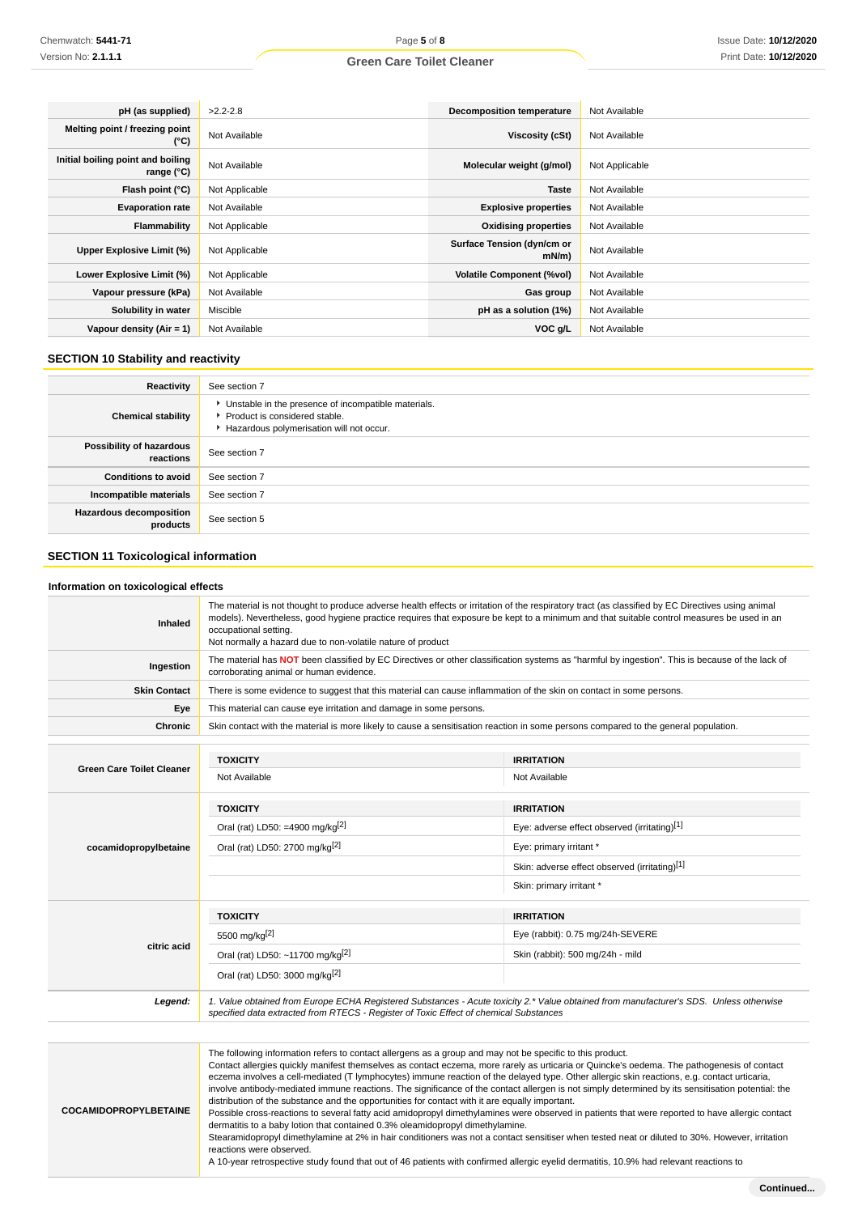| pH (as supplied)                                | $>2.2 - 2.8$   | <b>Decomposition temperature</b>       | Not Available  |
|-------------------------------------------------|----------------|----------------------------------------|----------------|
| Melting point / freezing point<br>(°C)          | Not Available  | Viscosity (cSt)                        | Not Available  |
| Initial boiling point and boiling<br>range (°C) | Not Available  | Molecular weight (g/mol)               | Not Applicable |
| Flash point (°C)                                | Not Applicable | <b>Taste</b>                           | Not Available  |
| <b>Evaporation rate</b>                         | Not Available  | <b>Explosive properties</b>            | Not Available  |
| Flammability                                    | Not Applicable | <b>Oxidising properties</b>            | Not Available  |
| Upper Explosive Limit (%)                       | Not Applicable | Surface Tension (dyn/cm or<br>$mN/m$ ) | Not Available  |
| Lower Explosive Limit (%)                       | Not Applicable | <b>Volatile Component (%vol)</b>       | Not Available  |
| Vapour pressure (kPa)                           | Not Available  | Gas group                              | Not Available  |
| Solubility in water                             | Miscible       | pH as a solution (1%)                  | Not Available  |
| Vapour density (Air = 1)                        | Not Available  | VOC g/L                                | Not Available  |

## **SECTION 10 Stability and reactivity**

| Reactivity                                 | See section 7                                                                                                                      |
|--------------------------------------------|------------------------------------------------------------------------------------------------------------------------------------|
| <b>Chemical stability</b>                  | • Unstable in the presence of incompatible materials.<br>Product is considered stable.<br>Hazardous polymerisation will not occur. |
| Possibility of hazardous<br>reactions      | See section 7                                                                                                                      |
| <b>Conditions to avoid</b>                 | See section 7                                                                                                                      |
| Incompatible materials                     | See section 7                                                                                                                      |
| <b>Hazardous decomposition</b><br>products | See section 5                                                                                                                      |

## **SECTION 11 Toxicological information**

### **Information on toxicological effects**

| Inhaled                          | The material is not thought to produce adverse health effects or irritation of the respiratory tract (as classified by EC Directives using animal<br>models). Nevertheless, good hygiene practice requires that exposure be kept to a minimum and that suitable control measures be used in an<br>occupational setting.<br>Not normally a hazard due to non-volatile nature of product |                                                                                                                                                                                                                                                                                                                                                                                                                                                |  |
|----------------------------------|----------------------------------------------------------------------------------------------------------------------------------------------------------------------------------------------------------------------------------------------------------------------------------------------------------------------------------------------------------------------------------------|------------------------------------------------------------------------------------------------------------------------------------------------------------------------------------------------------------------------------------------------------------------------------------------------------------------------------------------------------------------------------------------------------------------------------------------------|--|
| Ingestion                        | The material has NOT been classified by EC Directives or other classification systems as "harmful by ingestion". This is because of the lack of<br>corroborating animal or human evidence.                                                                                                                                                                                             |                                                                                                                                                                                                                                                                                                                                                                                                                                                |  |
| <b>Skin Contact</b>              | There is some evidence to suggest that this material can cause inflammation of the skin on contact in some persons.                                                                                                                                                                                                                                                                    |                                                                                                                                                                                                                                                                                                                                                                                                                                                |  |
| Eye                              | This material can cause eye irritation and damage in some persons.                                                                                                                                                                                                                                                                                                                     |                                                                                                                                                                                                                                                                                                                                                                                                                                                |  |
| Chronic                          | Skin contact with the material is more likely to cause a sensitisation reaction in some persons compared to the general population.                                                                                                                                                                                                                                                    |                                                                                                                                                                                                                                                                                                                                                                                                                                                |  |
|                                  |                                                                                                                                                                                                                                                                                                                                                                                        |                                                                                                                                                                                                                                                                                                                                                                                                                                                |  |
| <b>Green Care Toilet Cleaner</b> | <b>TOXICITY</b>                                                                                                                                                                                                                                                                                                                                                                        | <b>IRRITATION</b>                                                                                                                                                                                                                                                                                                                                                                                                                              |  |
|                                  | Not Available                                                                                                                                                                                                                                                                                                                                                                          | Not Available                                                                                                                                                                                                                                                                                                                                                                                                                                  |  |
|                                  | <b>TOXICITY</b>                                                                                                                                                                                                                                                                                                                                                                        | <b>IRRITATION</b>                                                                                                                                                                                                                                                                                                                                                                                                                              |  |
|                                  | Oral (rat) LD50: =4900 mg/kg <sup>[2]</sup>                                                                                                                                                                                                                                                                                                                                            | Eye: adverse effect observed (irritating)[1]                                                                                                                                                                                                                                                                                                                                                                                                   |  |
| cocamidopropylbetaine            | Oral (rat) LD50: 2700 mg/kg <sup>[2]</sup>                                                                                                                                                                                                                                                                                                                                             | Eye: primary irritant *                                                                                                                                                                                                                                                                                                                                                                                                                        |  |
|                                  |                                                                                                                                                                                                                                                                                                                                                                                        | Skin: adverse effect observed (irritating)[1]                                                                                                                                                                                                                                                                                                                                                                                                  |  |
|                                  |                                                                                                                                                                                                                                                                                                                                                                                        | Skin: primary irritant *                                                                                                                                                                                                                                                                                                                                                                                                                       |  |
|                                  | <b>TOXICITY</b>                                                                                                                                                                                                                                                                                                                                                                        | <b>IRRITATION</b>                                                                                                                                                                                                                                                                                                                                                                                                                              |  |
|                                  | 5500 mg/kg <sup>[2]</sup>                                                                                                                                                                                                                                                                                                                                                              | Eye (rabbit): 0.75 mg/24h-SEVERE                                                                                                                                                                                                                                                                                                                                                                                                               |  |
| citric acid                      | Oral (rat) LD50: ~11700 mg/kg <sup>[2]</sup>                                                                                                                                                                                                                                                                                                                                           | Skin (rabbit): 500 mg/24h - mild                                                                                                                                                                                                                                                                                                                                                                                                               |  |
|                                  | Oral (rat) LD50: 3000 mg/kg[2]                                                                                                                                                                                                                                                                                                                                                         |                                                                                                                                                                                                                                                                                                                                                                                                                                                |  |
| Legend:                          | 1. Value obtained from Europe ECHA Registered Substances - Acute toxicity 2.* Value obtained from manufacturer's SDS. Unless otherwise<br>specified data extracted from RTECS - Register of Toxic Effect of chemical Substances                                                                                                                                                        |                                                                                                                                                                                                                                                                                                                                                                                                                                                |  |
|                                  |                                                                                                                                                                                                                                                                                                                                                                                        |                                                                                                                                                                                                                                                                                                                                                                                                                                                |  |
|                                  | The following information refers to contact allergens as a group and may not be specific to this product.                                                                                                                                                                                                                                                                              | Contact allergies quickly manifest themselves as contact eczema, more rarely as urticaria or Quincke's oedema. The pathogenesis of contact<br>eczema involves a cell-mediated (T lymphocytes) immune reaction of the delayed type. Other allergic skin reactions, e.g. contact urticaria,<br>involve antibody-mediated immune reactions. The significance of the contact allergen is not simply determined by its sensitisation potential: the |  |

reactions were observed. A 10-year retrospective study found that out of 46 patients with confirmed allergic eyelid dermatitis, 10.9% had relevant reactions to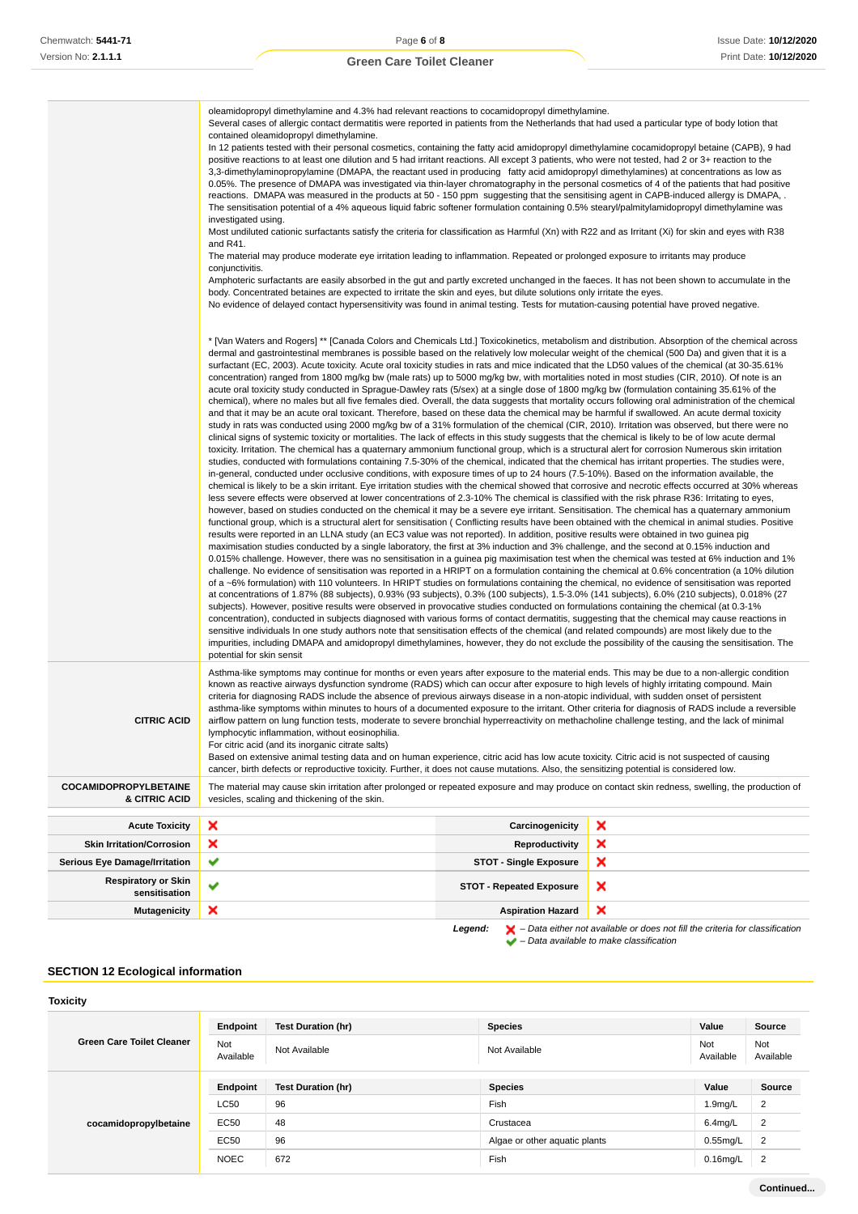|                                             | oleamidopropyl dimethylamine and 4.3% had relevant reactions to cocamidopropyl dimethylamine.<br>Several cases of allergic contact dermatitis were reported in patients from the Netherlands that had used a particular type of body lotion that<br>contained oleamidopropyl dimethylamine.<br>In 12 patients tested with their personal cosmetics, containing the fatty acid amidopropyl dimethylamine cocamidopropyl betaine (CAPB), 9 had<br>positive reactions to at least one dilution and 5 had irritant reactions. All except 3 patients, who were not tested, had 2 or 3+ reaction to the<br>3,3-dimethylaminopropylamine (DMAPA, the reactant used in producing fatty acid amidopropyl dimethylamines) at concentrations as low as<br>0.05%. The presence of DMAPA was investigated via thin-layer chromatography in the personal cosmetics of 4 of the patients that had positive<br>reactions. DMAPA was measured in the products at 50 - 150 ppm suggesting that the sensitising agent in CAPB-induced allergy is DMAPA, .<br>The sensitisation potential of a 4% aqueous liquid fabric softener formulation containing 0.5% stearyl/palmitylamidopropyl dimethylamine was<br>investigated using.<br>Most undiluted cationic surfactants satisfy the criteria for classification as Harmful (Xn) with R22 and as Irritant (Xi) for skin and eyes with R38<br>and R41.<br>The material may produce moderate eye irritation leading to inflammation. Repeated or prolonged exposure to irritants may produce<br>conjunctivitis.<br>Amphoteric surfactants are easily absorbed in the gut and partly excreted unchanged in the faeces. It has not been shown to accumulate in the<br>body. Concentrated betaines are expected to irritate the skin and eyes, but dilute solutions only irritate the eyes.<br>No evidence of delayed contact hypersensitivity was found in animal testing. Tests for mutation-causing potential have proved negative.<br>* [Van Waters and Rogers] ** [Canada Colors and Chemicals Ltd.] Toxicokinetics, metabolism and distribution. Absorption of the chemical across<br>dermal and gastrointestinal membranes is possible based on the relatively low molecular weight of the chemical (500 Da) and given that it is a<br>surfactant (EC, 2003). Acute toxicity. Acute oral toxicity studies in rats and mice indicated that the LD50 values of the chemical (at 30-35.61%<br>concentration) ranged from 1800 mg/kg bw (male rats) up to 5000 mg/kg bw, with mortalities noted in most studies (CIR, 2010). Of note is an<br>acute oral toxicity study conducted in Sprague-Dawley rats (5/sex) at a single dose of 1800 mg/kg bw (formulation containing 35.61% of the<br>chemical), where no males but all five females died. Overall, the data suggests that mortality occurs following oral administration of the chemical<br>and that it may be an acute oral toxicant. Therefore, based on these data the chemical may be harmful if swallowed. An acute dermal toxicity<br>study in rats was conducted using 2000 mg/kg bw of a 31% formulation of the chemical (CIR, 2010). Irritation was observed, but there were no<br>clinical signs of systemic toxicity or mortalities. The lack of effects in this study suggests that the chemical is likely to be of low acute dermal<br>toxicity. Irritation. The chemical has a quaternary ammonium functional group, which is a structural alert for corrosion Numerous skin irritation |                                 |   |
|---------------------------------------------|----------------------------------------------------------------------------------------------------------------------------------------------------------------------------------------------------------------------------------------------------------------------------------------------------------------------------------------------------------------------------------------------------------------------------------------------------------------------------------------------------------------------------------------------------------------------------------------------------------------------------------------------------------------------------------------------------------------------------------------------------------------------------------------------------------------------------------------------------------------------------------------------------------------------------------------------------------------------------------------------------------------------------------------------------------------------------------------------------------------------------------------------------------------------------------------------------------------------------------------------------------------------------------------------------------------------------------------------------------------------------------------------------------------------------------------------------------------------------------------------------------------------------------------------------------------------------------------------------------------------------------------------------------------------------------------------------------------------------------------------------------------------------------------------------------------------------------------------------------------------------------------------------------------------------------------------------------------------------------------------------------------------------------------------------------------------------------------------------------------------------------------------------------------------------------------------------------------------------------------------------------------------------------------------------------------------------------------------------------------------------------------------------------------------------------------------------------------------------------------------------------------------------------------------------------------------------------------------------------------------------------------------------------------------------------------------------------------------------------------------------------------------------------------------------------------------------------------------------------------------------------------------------------------------------------------------------------------------------------------------------------------------------------------------------------------------------------------------------------------------------------------------------------------------------------------------------------------------------------------------------------------------------------------------------------------------------------------------------------------------------------------------------------------------------------------------------------------------------------------|---------------------------------|---|
| <b>CITRIC ACID</b>                          | studies, conducted with formulations containing 7.5-30% of the chemical, indicated that the chemical has irritant properties. The studies were,<br>in-general, conducted under occlusive conditions, with exposure times of up to 24 hours (7.5-10%). Based on the information available, the<br>chemical is likely to be a skin irritant. Eye irritation studies with the chemical showed that corrosive and necrotic effects occurred at 30% whereas<br>less severe effects were observed at lower concentrations of 2.3-10% The chemical is classified with the risk phrase R36: Irritating to eyes,<br>however, based on studies conducted on the chemical it may be a severe eye irritant. Sensitisation. The chemical has a quaternary ammonium<br>functional group, which is a structural alert for sensitisation (Conflicting results have been obtained with the chemical in animal studies. Positive<br>results were reported in an LLNA study (an EC3 value was not reported). In addition, positive results were obtained in two guinea pig<br>maximisation studies conducted by a single laboratory, the first at 3% induction and 3% challenge, and the second at 0.15% induction and<br>0.015% challenge. However, there was no sensitisation in a guinea pig maximisation test when the chemical was tested at 6% induction and 1%<br>challenge. No evidence of sensitisation was reported in a HRIPT on a formulation containing the chemical at 0.6% concentration (a 10% dilution<br>of a ~6% formulation) with 110 volunteers. In HRIPT studies on formulations containing the chemical, no evidence of sensitisation was reported<br>at concentrations of 1.87% (88 subjects), 0.93% (93 subjects), 0.3% (100 subjects), 1.5-3.0% (141 subjects), 6.0% (210 subjects), 0.018% (27<br>subjects). However, positive results were observed in provocative studies conducted on formulations containing the chemical (at 0.3-1%<br>concentration), conducted in subjects diagnosed with various forms of contact dermatitis, suggesting that the chemical may cause reactions in<br>sensitive individuals In one study authors note that sensitisation effects of the chemical (and related compounds) are most likely due to the<br>impurities, including DMAPA and amidopropyl dimethylamines, however, they do not exclude the possibility of the causing the sensitisation. The<br>potential for skin sensit<br>Asthma-like symptoms may continue for months or even years after exposure to the material ends. This may be due to a non-allergic condition<br>known as reactive airways dysfunction syndrome (RADS) which can occur after exposure to high levels of highly irritating compound. Main<br>criteria for diagnosing RADS include the absence of previous airways disease in a non-atopic individual, with sudden onset of persistent<br>asthma-like symptoms within minutes to hours of a documented exposure to the irritant. Other criteria for diagnosis of RADS include a reversible<br>airflow pattern on lung function tests, moderate to severe bronchial hyperreactivity on methacholine challenge testing, and the lack of minimal<br>lymphocytic inflammation, without eosinophilia.<br>For citric acid (and its inorganic citrate salts)<br>Based on extensive animal testing data and on human experience, citric acid has low acute toxicity. Citric acid is not suspected of causing                                                  |                                 |   |
| <b>COCAMIDOPROPYLBETAINE</b>                | cancer, birth defects or reproductive toxicity. Further, it does not cause mutations. Also, the sensitizing potential is considered low.<br>The material may cause skin irritation after prolonged or repeated exposure and may produce on contact skin redness, swelling, the production of                                                                                                                                                                                                                                                                                                                                                                                                                                                                                                                                                                                                                                                                                                                                                                                                                                                                                                                                                                                                                                                                                                                                                                                                                                                                                                                                                                                                                                                                                                                                                                                                                                                                                                                                                                                                                                                                                                                                                                                                                                                                                                                                                                                                                                                                                                                                                                                                                                                                                                                                                                                                                                                                                                                                                                                                                                                                                                                                                                                                                                                                                                                                                                                           |                                 |   |
| & CITRIC ACID                               | vesicles, scaling and thickening of the skin.                                                                                                                                                                                                                                                                                                                                                                                                                                                                                                                                                                                                                                                                                                                                                                                                                                                                                                                                                                                                                                                                                                                                                                                                                                                                                                                                                                                                                                                                                                                                                                                                                                                                                                                                                                                                                                                                                                                                                                                                                                                                                                                                                                                                                                                                                                                                                                                                                                                                                                                                                                                                                                                                                                                                                                                                                                                                                                                                                                                                                                                                                                                                                                                                                                                                                                                                                                                                                                          |                                 |   |
| <b>Acute Toxicity</b>                       | ×                                                                                                                                                                                                                                                                                                                                                                                                                                                                                                                                                                                                                                                                                                                                                                                                                                                                                                                                                                                                                                                                                                                                                                                                                                                                                                                                                                                                                                                                                                                                                                                                                                                                                                                                                                                                                                                                                                                                                                                                                                                                                                                                                                                                                                                                                                                                                                                                                                                                                                                                                                                                                                                                                                                                                                                                                                                                                                                                                                                                                                                                                                                                                                                                                                                                                                                                                                                                                                                                                      | Carcinogenicity                 | × |
| <b>Skin Irritation/Corrosion</b>            | ×                                                                                                                                                                                                                                                                                                                                                                                                                                                                                                                                                                                                                                                                                                                                                                                                                                                                                                                                                                                                                                                                                                                                                                                                                                                                                                                                                                                                                                                                                                                                                                                                                                                                                                                                                                                                                                                                                                                                                                                                                                                                                                                                                                                                                                                                                                                                                                                                                                                                                                                                                                                                                                                                                                                                                                                                                                                                                                                                                                                                                                                                                                                                                                                                                                                                                                                                                                                                                                                                                      | <b>Reproductivity</b>           | × |
| <b>Serious Eye Damage/Irritation</b>        | ✔                                                                                                                                                                                                                                                                                                                                                                                                                                                                                                                                                                                                                                                                                                                                                                                                                                                                                                                                                                                                                                                                                                                                                                                                                                                                                                                                                                                                                                                                                                                                                                                                                                                                                                                                                                                                                                                                                                                                                                                                                                                                                                                                                                                                                                                                                                                                                                                                                                                                                                                                                                                                                                                                                                                                                                                                                                                                                                                                                                                                                                                                                                                                                                                                                                                                                                                                                                                                                                                                                      | <b>STOT - Single Exposure</b>   | × |
| <b>Respiratory or Skin</b><br>sensitisation | ✔                                                                                                                                                                                                                                                                                                                                                                                                                                                                                                                                                                                                                                                                                                                                                                                                                                                                                                                                                                                                                                                                                                                                                                                                                                                                                                                                                                                                                                                                                                                                                                                                                                                                                                                                                                                                                                                                                                                                                                                                                                                                                                                                                                                                                                                                                                                                                                                                                                                                                                                                                                                                                                                                                                                                                                                                                                                                                                                                                                                                                                                                                                                                                                                                                                                                                                                                                                                                                                                                                      | <b>STOT - Repeated Exposure</b> | x |
| <b>Mutagenicity</b>                         | ×                                                                                                                                                                                                                                                                                                                                                                                                                                                                                                                                                                                                                                                                                                                                                                                                                                                                                                                                                                                                                                                                                                                                                                                                                                                                                                                                                                                                                                                                                                                                                                                                                                                                                                                                                                                                                                                                                                                                                                                                                                                                                                                                                                                                                                                                                                                                                                                                                                                                                                                                                                                                                                                                                                                                                                                                                                                                                                                                                                                                                                                                                                                                                                                                                                                                                                                                                                                                                                                                                      | <b>Aspiration Hazard</b>        | × |

**Legend:**  $\mathbf{X}$  – Data either not available or does not fill the criteria for classification

– Data available to make classification

## **SECTION 12 Ecological information**

| Endpoint         | <b>Test Duration (hr)</b> | <b>Species</b>                | Value            | Source           |
|------------------|---------------------------|-------------------------------|------------------|------------------|
| Not<br>Available | Not Available             | Not Available                 | Not<br>Available | Not<br>Available |
| Endpoint         | <b>Test Duration (hr)</b> | <b>Species</b>                | Value            | Source           |
| <b>LC50</b>      | 96                        | Fish                          | 1.9mg/L          | $\overline{2}$   |
| <b>EC50</b>      | 48                        | Crustacea                     | $6.4$ mg/L       | $\overline{2}$   |
| <b>EC50</b>      | 96                        | Algae or other aquatic plants | $0.55$ mg/L      | $\overline{2}$   |
| <b>NOEC</b>      | 672                       | Fish                          | $0.16$ mg/L      | $\overline{2}$   |
|                  |                           |                               |                  |                  |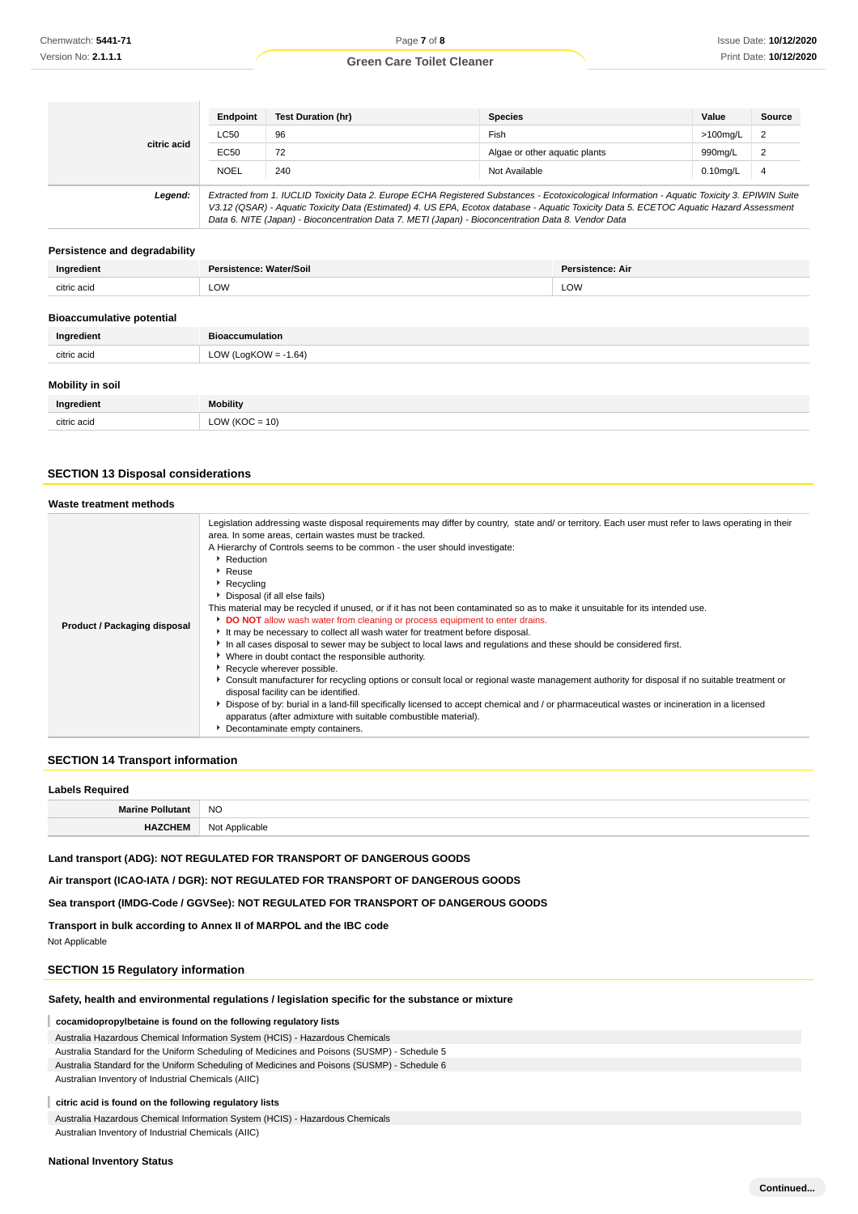|             | Endpoint                                                                                                                                                                                                                                                                                 | <b>Test Duration (hr)</b> | <b>Species</b>                | Value       | Source         |
|-------------|------------------------------------------------------------------------------------------------------------------------------------------------------------------------------------------------------------------------------------------------------------------------------------------|---------------------------|-------------------------------|-------------|----------------|
|             | <b>LC50</b>                                                                                                                                                                                                                                                                              | 96                        | Fish                          | >100ma/L    | 2              |
| citric acid | <b>EC50</b>                                                                                                                                                                                                                                                                              | 72                        | Algae or other aguatic plants | 990mg/L     | $\overline{2}$ |
|             | <b>NOEL</b>                                                                                                                                                                                                                                                                              | 240                       | Not Available                 | $0.10$ mg/L | $\overline{4}$ |
| Legend:     | Extracted from 1. IUCLID Toxicity Data 2. Europe ECHA Registered Substances - Ecotoxicological Information - Aquatic Toxicity 3. EPIWIN Suite<br>V3.12 (QSAR) - Aquatic Toxicity Data (Estimated) 4. US EPA, Ecotox database - Aquatic Toxicity Data 5. ECETOC Aquatic Hazard Assessment |                           |                               |             |                |

Data 6. NITE (Japan) - Bioconcentration Data 7. METI (Japan) - Bioconcentration Data 8. Vendor Data

### **Persistence and degradability**

| Ingredient                       | Persistence: Water/Soil                                                                                                                                                                                                        | <b>Persistence: Air</b> |
|----------------------------------|--------------------------------------------------------------------------------------------------------------------------------------------------------------------------------------------------------------------------------|-------------------------|
| citric acid                      | <b>LOW</b>                                                                                                                                                                                                                     | LOW                     |
| <b>Bioaccumulative potential</b> |                                                                                                                                                                                                                                |                         |
| the company of the said the      | The state of the company of the state of the state of the state of the state of the state of the state of the state of the state of the state of the state of the state of the state of the state of the state of the state of |                         |

| Ingredient              | <b>Bioaccumulation</b> |
|-------------------------|------------------------|
| citric acid             | LOW (LogKOW = -1.64)   |
| <b>Mobility in soil</b> |                        |
| Ingredient              | Mobility               |
| citric acid             | $LOW (KOC = 10)$       |

## **SECTION 13 Disposal considerations**

| Waste treatment methods      |                                                                                                                                                                                                                                                                                                                                                                                                                                                                                                                                                                                                                                                                                                                                                                                                                                                                                                                                                                                                                                                                                                                                                                                                                                                                                                                                         |
|------------------------------|-----------------------------------------------------------------------------------------------------------------------------------------------------------------------------------------------------------------------------------------------------------------------------------------------------------------------------------------------------------------------------------------------------------------------------------------------------------------------------------------------------------------------------------------------------------------------------------------------------------------------------------------------------------------------------------------------------------------------------------------------------------------------------------------------------------------------------------------------------------------------------------------------------------------------------------------------------------------------------------------------------------------------------------------------------------------------------------------------------------------------------------------------------------------------------------------------------------------------------------------------------------------------------------------------------------------------------------------|
| Product / Packaging disposal | Legislation addressing waste disposal requirements may differ by country, state and/ or territory. Each user must refer to laws operating in their<br>area. In some areas, certain wastes must be tracked.<br>A Hierarchy of Controls seems to be common - the user should investigate:<br>Reduction<br>Reuse<br>$\blacktriangleright$ Recycling<br>Disposal (if all else fails)<br>This material may be recycled if unused, or if it has not been contaminated so as to make it unsuitable for its intended use.<br>DO NOT allow wash water from cleaning or process equipment to enter drains.<br>It may be necessary to collect all wash water for treatment before disposal.<br>In all cases disposal to sewer may be subject to local laws and regulations and these should be considered first.<br>• Where in doubt contact the responsible authority.<br>Recycle wherever possible.<br>▶ Consult manufacturer for recycling options or consult local or regional waste management authority for disposal if no suitable treatment or<br>disposal facility can be identified.<br>Dispose of by: burial in a land-fill specifically licensed to accept chemical and / or pharmaceutical wastes or incineration in a licensed<br>apparatus (after admixture with suitable combustible material).<br>Decontaminate empty containers. |

### **SECTION 14 Transport information**

| <b>Labels Required</b>  |                |  |
|-------------------------|----------------|--|
| <b>Marine Pollutant</b> | <b>NO</b>      |  |
| <b>HAZCHEM</b>          | Not Applicable |  |
|                         |                |  |

**Land transport (ADG): NOT REGULATED FOR TRANSPORT OF DANGEROUS GOODS**

**Air transport (ICAO-IATA / DGR): NOT REGULATED FOR TRANSPORT OF DANGEROUS GOODS**

**Sea transport (IMDG-Code / GGVSee): NOT REGULATED FOR TRANSPORT OF DANGEROUS GOODS**

**Transport in bulk according to Annex II of MARPOL and the IBC code** Not Applicable

## **SECTION 15 Regulatory information**

## **Safety, health and environmental regulations / legislation specific for the substance or mixture**

#### **cocamidopropylbetaine is found on the following regulatory lists**

Australia Hazardous Chemical Information System (HCIS) - Hazardous Chemicals

Australia Standard for the Uniform Scheduling of Medicines and Poisons (SUSMP) - Schedule 5

Australia Standard for the Uniform Scheduling of Medicines and Poisons (SUSMP) - Schedule 6

Australian Inventory of Industrial Chemicals (AIIC)

#### I **citric acid is found on the following regulatory lists**

Australia Hazardous Chemical Information System (HCIS) - Hazardous Chemicals Australian Inventory of Industrial Chemicals (AIIC)

### **National Inventory Status**